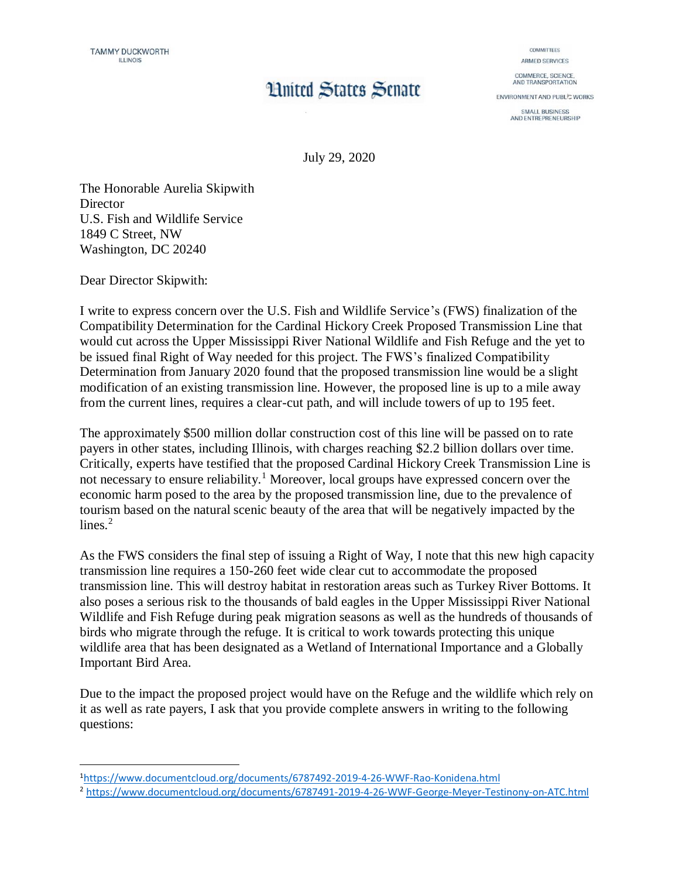## **Limited States Senate**

COMMITTEES ARMED SERVICES

COMMERCE, SCIENCE,<br>AND TRANSPORTATION

**ENVIRONMENT AND PUBL/C WORKS** 

SMALL BUSINESS<br>AND ENTREPRENEURSHIP

July 29, 2020

The Honorable Aurelia Skipwith **Director** U.S. Fish and Wildlife Service 1849 C Street, NW Washington, DC 20240

Dear Director Skipwith:

 $\overline{a}$ 

I write to express concern over the U.S. Fish and Wildlife Service's (FWS) finalization of the Compatibility Determination for the Cardinal Hickory Creek Proposed Transmission Line that would cut across the Upper Mississippi River National Wildlife and Fish Refuge and the yet to be issued final Right of Way needed for this project. The FWS's finalized Compatibility Determination from January 2020 found that the proposed transmission line would be a slight modification of an existing transmission line. However, the proposed line is up to a mile away from the current lines, requires a clear-cut path, and will include towers of up to 195 feet.

The approximately \$500 million dollar construction cost of this line will be passed on to rate payers in other states, including Illinois, with charges reaching \$2.2 billion dollars over time. Critically, experts have testified that the proposed Cardinal Hickory Creek Transmission Line is not necessary to ensure reliability.<sup>1</sup> Moreover, local groups have expressed concern over the economic harm posed to the area by the proposed transmission line, due to the prevalence of tourism based on the natural scenic beauty of the area that will be negatively impacted by the lines. $2$ 

As the FWS considers the final step of issuing a Right of Way, I note that this new high capacity transmission line requires a 150-260 feet wide clear cut to accommodate the proposed transmission line. This will destroy habitat in restoration areas such as Turkey River Bottoms. It also poses a serious risk to the thousands of bald eagles in the Upper Mississippi River National Wildlife and Fish Refuge during peak migration seasons as well as the hundreds of thousands of birds who migrate through the refuge. It is critical to work towards protecting this unique wildlife area that has been designated as a Wetland of International Importance and a Globally Important Bird Area.

Due to the impact the proposed project would have on the Refuge and the wildlife which rely on it as well as rate payers, I ask that you provide complete answers in writing to the following questions:

<sup>1</sup><https://www.documentcloud.org/documents/6787492-2019-4-26-WWF-Rao-Konidena.html>

<sup>2</sup> <https://www.documentcloud.org/documents/6787491-2019-4-26-WWF-George-Meyer-Testinony-on-ATC.html>